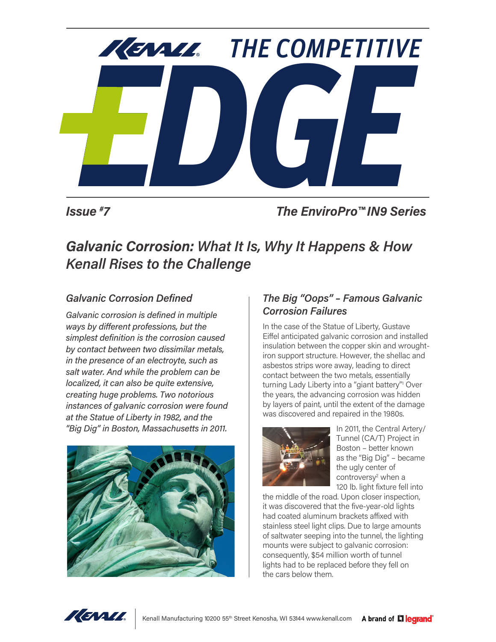

*Issue #*

*7 The EnviroPro™ IN9 Series*

# *Galvanic Corrosion: What It Is, Why It Happens & How Kenall Rises to the Challenge*

## *Galvanic Corrosion Defined*

*Galvanic corrosion is defined in multiple ways by different professions, but the simplest definition is the corrosion caused by contact between two dissimilar metals, in the presence of an electroyte, such as salt water. And while the problem can be localized, it can also be quite extensive, creating huge problems. Two notorious instances of galvanic corrosion were found at the Statue of Liberty in 1982, and the "Big Dig" in Boston, Massachusetts in 2011.*



# *The Big "Oops" – Famous Galvanic Corrosion Failures*

In the case of the Statue of Liberty, Gustave Eiffel anticipated galvanic corrosion and installed insulation between the copper skin and wroughtiron support structure. However, the shellac and asbestos strips wore away, leading to direct contact between the two metals, essentially turning Lady Liberty into a "giant battery"<sup>1</sup> Over the years, the advancing corrosion was hidden by layers of paint, until the extent of the damage was discovered and repaired in the 1980s.



In 2011, the Central Artery/ Tunnel (CA/T) Project in Boston – better known as the "Big Dig" – became the ugly center of controversy<sup>2</sup> when a 120 lb. light fixture fell into

the middle of the road. Upon closer inspection, it was discovered that the five-year-old lights had coated aluminum brackets affixed with stainless steel light clips. Due to large amounts of saltwater seeping into the tunnel, the lighting mounts were subject to galvanic corrosion: consequently, \$54 million worth of tunnel lights had to be replaced before they fell on the cars below them.